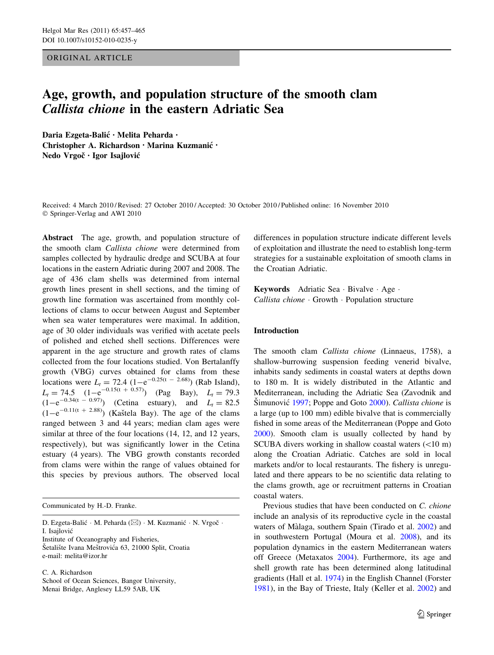ORIGINAL ARTICLE

# Age, growth, and population structure of the smooth clam Callista chione in the eastern Adriatic Sea

Daria Ezgeta-Balić · Melita Peharda · Christopher A. Richardson • Marina Kuzmanic´ • Nedo Vrgoč · Igor Isajlović

Received: 4 March 2010 / Revised: 27 October 2010 / Accepted: 30 October 2010 / Published online: 16 November 2010 © Springer-Verlag and AWI 2010

Abstract The age, growth, and population structure of the smooth clam Callista chione were determined from samples collected by hydraulic dredge and SCUBA at four locations in the eastern Adriatic during 2007 and 2008. The age of 436 clam shells was determined from internal growth lines present in shell sections, and the timing of growth line formation was ascertained from monthly collections of clams to occur between August and September when sea water temperatures were maximal. In addition, age of 30 older individuals was verified with acetate peels of polished and etched shell sections. Differences were apparent in the age structure and growth rates of clams collected from the four locations studied. Von Bertalanffy growth (VBG) curves obtained for clams from these locations were  $L_t = 72.4 \ (1 - e^{-0.25(t - 2.68)})$  (Rab Island),  $L_t = 74.5 \quad (1 - e^{-0.15(t + 0.57)}) \quad$  (Pag Bay),  $L_t = 79.3$  $(L_1 - L_1)$ <br>(1-e<sup>-0.34(t - 0.97)</sup>) (Cetina estuary), and  $L_1 = 82.5$  $(1-e^{-0.11(t + 2.88)})$  (Kaštela Bay). The age of the clams ranged between 3 and 44 years; median clam ages were similar at three of the four locations  $(14, 12, 12)$  years, respectively), but was significantly lower in the Cetina estuary (4 years). The VBG growth constants recorded from clams were within the range of values obtained for this species by previous authors. The observed local

Communicated by H.-D. Franke.

D. Ezgeta-Balić · M. Peharda (⊠) · M. Kuzmanić · N. Vrgoč · I. Isajlovic´ Institute of Oceanography and Fisheries, Šetalište Ivana Meštrovića 63, 21000 Split, Croatia

e-mail: melita@izor.hr

C. A. Richardson School of Ocean Sciences, Bangor University, Menai Bridge, Anglesey LL59 5AB, UK

differences in population structure indicate different levels of exploitation and illustrate the need to establish long-term strategies for a sustainable exploitation of smooth clams in the Croatian Adriatic.

Keywords Adriatic Sea · Bivalve · Age · Callista chione - Growth - Population structure

## Introduction

The smooth clam Callista chione (Linnaeus, 1758), a shallow-burrowing suspension feeding venerid bivalve, inhabits sandy sediments in coastal waters at depths down to 180 m. It is widely distributed in the Atlantic and Mediterranean, including the Adriatic Sea (Zavodnik and  $\text{Simunović } 1997$  $\text{Simunović } 1997$ ; Poppe and Goto [2000](#page-7-0)). Callista chione is a large (up to 100 mm) edible bivalve that is commercially fished in some areas of the Mediterranean (Poppe and Goto [2000](#page-7-0)). Smooth clam is usually collected by hand by SCUBA divers working in shallow coastal waters  $(<10 \text{ m})$ along the Croatian Adriatic. Catches are sold in local markets and/or to local restaurants. The fishery is unregulated and there appears to be no scientific data relating to the clams growth, age or recruitment patterns in Croatian coastal waters.

Previous studies that have been conducted on C. chione include an analysis of its reproductive cycle in the coastal waters of Màlaga, southern Spain (Tirado et al. [2002](#page-8-0)) and in southwestern Portugal (Moura et al. [2008\)](#page-7-0), and its population dynamics in the eastern Mediterranean waters off Greece (Metaxatos [2004\)](#page-7-0). Furthermore, its age and shell growth rate has been determined along latitudinal gradients (Hall et al. [1974](#page-7-0)) in the English Channel (Forster [1981](#page-7-0)), in the Bay of Trieste, Italy (Keller et al. [2002](#page-7-0)) and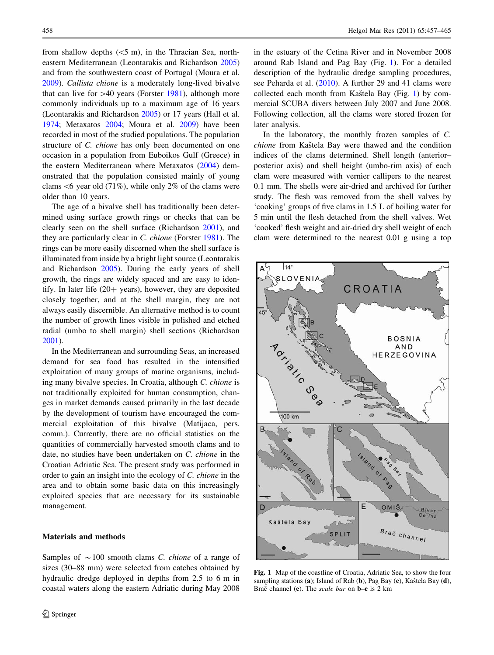from shallow depths  $(<5$  m), in the Thracian Sea, northeastern Mediterranean (Leontarakis and Richardson [2005\)](#page-7-0) and from the southwestern coast of Portugal (Moura et al. [2009\)](#page-7-0). Callista chione is a moderately long-lived bivalve that can live for  $>40$  years (Forster [1981\)](#page-7-0), although more commonly individuals up to a maximum age of 16 years (Leontarakis and Richardson [2005\)](#page-7-0) or 17 years (Hall et al. [1974;](#page-7-0) Metaxatos [2004;](#page-7-0) Moura et al. [2009](#page-7-0)) have been recorded in most of the studied populations. The population structure of C. chione has only been documented on one occasion in a population from Euboikos Gulf (Greece) in the eastern Mediterranean where Metaxatos ([2004\)](#page-7-0) demonstrated that the population consisted mainly of young clams  $<6$  year old (71%), while only 2% of the clams were older than 10 years.

The age of a bivalve shell has traditionally been determined using surface growth rings or checks that can be clearly seen on the shell surface (Richardson [2001\)](#page-8-0), and they are particularly clear in C. chione (Forster [1981\)](#page-7-0). The rings can be more easily discerned when the shell surface is illuminated from inside by a bright light source (Leontarakis and Richardson [2005\)](#page-7-0). During the early years of shell growth, the rings are widely spaced and are easy to identify. In later life  $(20+)$  years), however, they are deposited closely together, and at the shell margin, they are not always easily discernible. An alternative method is to count the number of growth lines visible in polished and etched radial (umbo to shell margin) shell sections (Richardson [2001\)](#page-8-0).

In the Mediterranean and surrounding Seas, an increased demand for sea food has resulted in the intensified exploitation of many groups of marine organisms, including many bivalve species. In Croatia, although C. chione is not traditionally exploited for human consumption, changes in market demands caused primarily in the last decade by the development of tourism have encouraged the commercial exploitation of this bivalve (Matijaca, pers. comm.). Currently, there are no official statistics on the quantities of commercially harvested smooth clams and to date, no studies have been undertaken on C. chione in the Croatian Adriatic Sea. The present study was performed in order to gain an insight into the ecology of C. chione in the area and to obtain some basic data on this increasingly exploited species that are necessary for its sustainable management.

Samples of  $\sim$  100 smooth clams *C. chione* of a range of sizes (30–88 mm) were selected from catches obtained by hydraulic dredge deployed in depths from 2.5 to 6 m in coastal waters along the eastern Adriatic during May 2008 in the estuary of the Cetina River and in November 2008 around Rab Island and Pag Bay (Fig. 1). For a detailed description of the hydraulic dredge sampling procedures, see Peharda et al. [\(2010](#page-7-0)). A further 29 and 41 clams were collected each month from Kaštela Bay (Fig. 1) by commercial SCUBA divers between July 2007 and June 2008. Following collection, all the clams were stored frozen for later analysis.

In the laboratory, the monthly frozen samples of C. chione from Kaštela Bay were thawed and the condition indices of the clams determined. Shell length (anterior– posterior axis) and shell height (umbo-rim axis) of each clam were measured with vernier callipers to the nearest 0.1 mm. The shells were air-dried and archived for further study. The flesh was removed from the shell valves by 'cooking' groups of five clams in 1.5 L of boiling water for 5 min until the flesh detached from the shell valves. Wet 'cooked' flesh weight and air-dried dry shell weight of each clam were determined to the nearest 0.01 g using a top



Fig. 1 Map of the coastline of Croatia, Adriatic Sea, to show the four sampling stations (a); Island of Rab (b), Pag Bay (c), Kaštela Bay  $(d)$ , Brač channel (e). The *scale bar* on  $\mathbf{b}$ –e is 2 km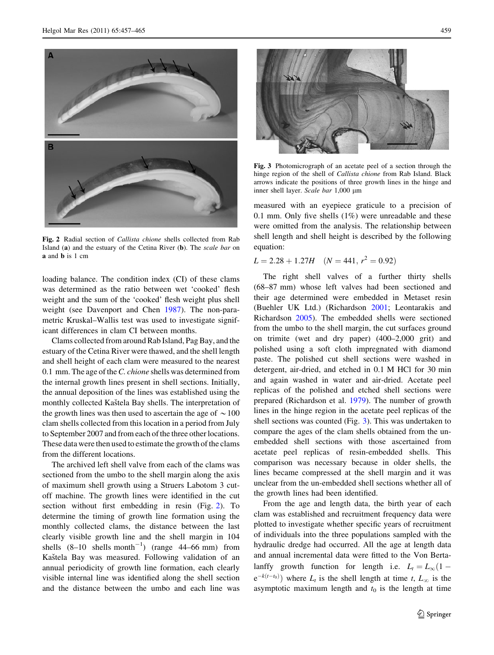

<span id="page-2-0"></span>

Fig. 2 Radial section of Callista chione shells collected from Rab Island (a) and the estuary of the Cetina River (b). The scale bar on a and b is 1 cm

loading balance. The condition index (CI) of these clams was determined as the ratio between wet 'cooked' flesh weight and the sum of the 'cooked' flesh weight plus shell weight (see Davenport and Chen [1987](#page-7-0)). The non-parametric Kruskal–Wallis test was used to investigate significant differences in clam CI between months.

Clams collected from around Rab Island, Pag Bay, and the estuary of the Cetina River were thawed, and the shell length and shell height of each clam were measured to the nearest 0.1 mm. The age of the *C. chione* shells was determined from the internal growth lines present in shell sections. Initially, the annual deposition of the lines was established using the monthly collected Kaštela Bay shells. The interpretation of the growth lines was then used to ascertain the age of  $\sim$  100 clam shells collected from this location in a period from July to September 2007 and from each of the three other locations. These data were then used to estimate the growth of the clams from the different locations.

The archived left shell valve from each of the clams was sectioned from the umbo to the shell margin along the axis of maximum shell growth using a Struers Labotom 3 cutoff machine. The growth lines were identified in the cut section without first embedding in resin (Fig. 2). To determine the timing of growth line formation using the monthly collected clams, the distance between the last clearly visible growth line and the shell margin in 104 shells  $(8-10 \text{ shells month}^{-1})$  (range 44–66 mm) from Kaštela Bay was measured. Following validation of an annual periodicity of growth line formation, each clearly visible internal line was identified along the shell section and the distance between the umbo and each line was



Fig. 3 Photomicrograph of an acetate peel of a section through the hinge region of the shell of Callista chione from Rab Island. Black arrows indicate the positions of three growth lines in the hinge and inner shell layer. Scale bar 1,000 µm

measured with an eyepiece graticule to a precision of 0.1 mm. Only five shells (1%) were unreadable and these were omitted from the analysis. The relationship between shell length and shell height is described by the following equation:

$$
L = 2.28 + 1.27H \quad (N = 441, r^2 = 0.92)
$$

The right shell valves of a further thirty shells (68–87 mm) whose left valves had been sectioned and their age determined were embedded in Metaset resin (Buehler UK Ltd.) (Richardson [2001;](#page-8-0) Leontarakis and Richardson [2005\)](#page-7-0). The embedded shells were sectioned from the umbo to the shell margin, the cut surfaces ground on trimite (wet and dry paper) (400–2,000 grit) and polished using a soft cloth impregnated with diamond paste. The polished cut shell sections were washed in detergent, air-dried, and etched in 0.1 M HCl for 30 min and again washed in water and air-dried. Acetate peel replicas of the polished and etched shell sections were prepared (Richardson et al. [1979](#page-8-0)). The number of growth lines in the hinge region in the acetate peel replicas of the shell sections was counted (Fig. 3). This was undertaken to compare the ages of the clam shells obtained from the unembedded shell sections with those ascertained from acetate peel replicas of resin-embedded shells. This comparison was necessary because in older shells, the lines became compressed at the shell margin and it was unclear from the un-embedded shell sections whether all of the growth lines had been identified.

From the age and length data, the birth year of each clam was established and recruitment frequency data were plotted to investigate whether specific years of recruitment of individuals into the three populations sampled with the hydraulic dredge had occurred. All the age at length data and annual incremental data were fitted to the Von Bertalanffy growth function for length i.e.  $L_t = L_{\infty} (1$  $e^{-k(t-t_0)}$  where  $L_t$  is the shell length at time t,  $L_{\infty}$  is the asymptotic maximum length and  $t_0$  is the length at time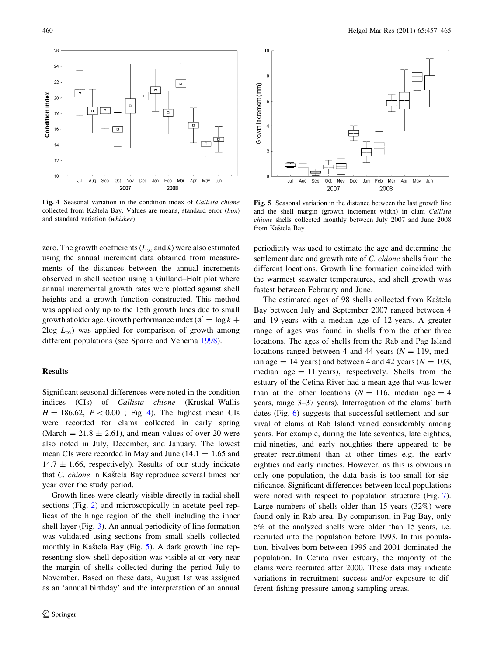

Fig. 4 Seasonal variation in the condition index of Callista chione collected from Kaštela Bay. Values are means, standard error  $(box)$ and standard variation (whisker)

zero. The growth coefficients ( $L_{\infty}$  and k) were also estimated using the annual increment data obtained from measurements of the distances between the annual increments observed in shell section using a Gulland–Holt plot where annual incremental growth rates were plotted against shell heights and a growth function constructed. This method was applied only up to the 15th growth lines due to small growth at older age. Growth performance index ( $\phi' = \log k +$  $2\log L_{\infty}$ ) was applied for comparison of growth among different populations (see Sparre and Venema [1998](#page-8-0)).

### Results

Significant seasonal differences were noted in the condition indices (CIs) of Callista chione (Kruskal–Wallis  $H = 186.62$ ,  $P < 0.001$ ; Fig. 4). The highest mean CIs were recorded for clams collected in early spring (March  $= 21.8 \pm 2.61$ ), and mean values of over 20 were also noted in July, December, and January. The lowest mean CIs were recorded in May and June ( $14.1 \pm 1.65$  and  $14.7 \pm 1.66$ , respectively). Results of our study indicate that C. chione in Kaštela Bay reproduce several times per year over the study period.

Growth lines were clearly visible directly in radial shell sections (Fig. [2\)](#page-2-0) and microscopically in acetate peel replicas of the hinge region of the shell including the inner shell layer (Fig. [3\)](#page-2-0). An annual periodicity of line formation was validated using sections from small shells collected monthly in Kaštela Bay (Fig. 5). A dark growth line representing slow shell deposition was visible at or very near the margin of shells collected during the period July to November. Based on these data, August 1st was assigned as an 'annual birthday' and the interpretation of an annual



Fig. 5 Seasonal variation in the distance between the last growth line and the shell margin (growth increment width) in clam Callista chione shells collected monthly between July 2007 and June 2008 from Kaštela Bay

periodicity was used to estimate the age and determine the settlement date and growth rate of C. chione shells from the different locations. Growth line formation coincided with the warmest seawater temperatures, and shell growth was fastest between February and June.

The estimated ages of 98 shells collected from Kaštela Bay between July and September 2007 ranged between 4 and 19 years with a median age of 12 years. A greater range of ages was found in shells from the other three locations. The ages of shells from the Rab and Pag Island locations ranged between 4 and 44 years ( $N = 119$ , median age  $= 14$  years) and between 4 and 42 years ( $N = 103$ , median age  $= 11$  years), respectively. Shells from the estuary of the Cetina River had a mean age that was lower than at the other locations ( $N = 116$ , median age = 4 years, range 3–37 years). Interrogation of the clams' birth dates (Fig. [6\)](#page-4-0) suggests that successful settlement and survival of clams at Rab Island varied considerably among years. For example, during the late seventies, late eighties, mid-nineties, and early noughties there appeared to be greater recruitment than at other times e.g. the early eighties and early nineties. However, as this is obvious in only one population, the data basis is too small for significance. Significant differences between local populations were noted with respect to population structure (Fig. [7](#page-5-0)). Large numbers of shells older than 15 years (32%) were found only in Rab area. By comparison, in Pag Bay, only 5% of the analyzed shells were older than 15 years, i.e. recruited into the population before 1993. In this population, bivalves born between 1995 and 2001 dominated the population. In Cetina river estuary, the majority of the clams were recruited after 2000. These data may indicate variations in recruitment success and/or exposure to different fishing pressure among sampling areas.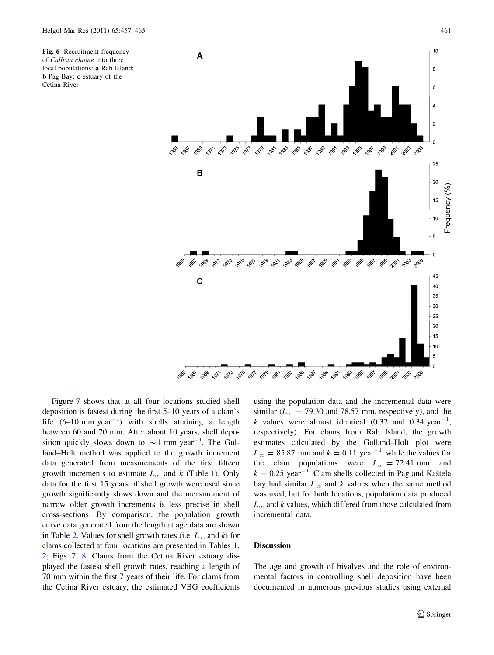<span id="page-4-0"></span>Fig. 6 Recruitment frequency of Callista chione into three local populations: a Rab Island; b Pag Bay; c estuary of the Cetina River



Figure [7](#page-5-0) shows that at all four locations studied shell deposition is fastest during the first 5–10 years of a clam's life  $(6-10 \text{ mm year}^{-1})$  with shells attaining a length between 60 and 70 mm. After about 10 years, shell deposition quickly slows down to  $\sim$  1 mm year<sup>-1</sup>. The Gulland–Holt method was applied to the growth increment data generated from measurements of the first fifteen growth increments to estimate  $L_{\infty}$  and k (Table [1](#page-5-0)). Only data for the first 15 years of shell growth were used since growth significantly slows down and the measurement of narrow older growth increments is less precise in shell cross-sections. By comparison, the population growth curve data generated from the length at age data are shown in Table [2.](#page-5-0) Values for shell growth rates (i.e.  $L_{\infty}$  and k) for clams collected at four locations are presented in Tables [1,](#page-5-0) [2](#page-5-0); Figs. [7,](#page-5-0) [8.](#page-5-0) Clams from the Cetina River estuary displayed the fastest shell growth rates, reaching a length of 70 mm within the first 7 years of their life. For clams from the Cetina River estuary, the estimated VBG coefficients using the population data and the incremental data were similar ( $L_{\infty}$  = 79.30 and 78.57 mm, respectively), and the k values were almost identical  $(0.32 \text{ and } 0.34 \text{ year}^{-1})$ , respectively). For clams from Rab Island, the growth estimates calculated by the Gulland–Holt plot were  $L_{\infty} = 85.87$  mm and  $k = 0.11$  year<sup>-1</sup>, while the values for the clam populations were  $L_{\infty} = 72.41$  mm and  $k = 0.25$  year<sup>-1</sup>. Clam shells collected in Pag and Kaštela bay had similar  $L_{\infty}$  and k values when the same method was used, but for both locations, population data produced  $L_{\infty}$  and k values, which differed from those calculated from incremental data.

#### Discussion

The age and growth of bivalves and the role of environmental factors in controlling shell deposition have been documented in numerous previous studies using external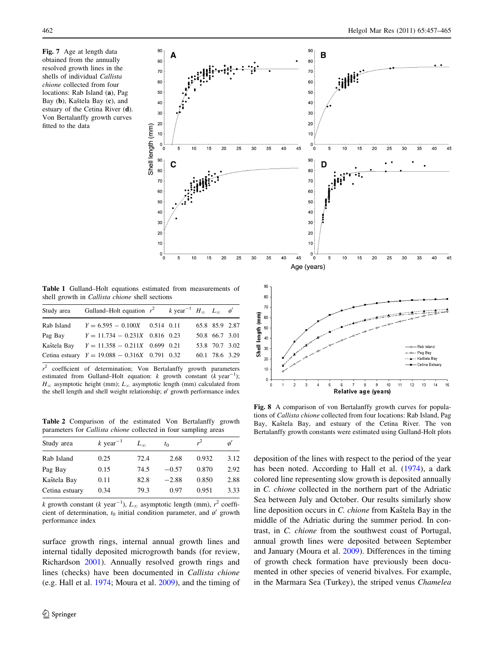<span id="page-5-0"></span>Fig. 7 Age at length data obtained from the annually resolved growth lines in the shells of individual Callista chione collected from four locations: Rab Island (a), Pag Bay (b), Kaštela Bay (c), and estuary of the Cetina River (d). Von Bertalanffy growth curves fitted to the data



 $_{20}$ 

 $10$ 

Table 1 Gulland–Holt equations estimated from measurements of shell growth in Callista chione shell sections

Shell length (mm)

|             | Study area Gulland–Holt equation $r^2$ k year <sup>-1</sup> $H_{\infty}$ $L_{\infty}$ o' |  |                |  |
|-------------|------------------------------------------------------------------------------------------|--|----------------|--|
| Rab Island  | $Y = 6.595 - 0.100X$ 0.514 0.11                                                          |  | 65.8 85.9 2.87 |  |
| Pag Bay     | $Y = 11.734 - 0.231X$ 0.816 0.23                                                         |  | 50.8 66.7 3.01 |  |
| Kaštela Bay | $Y = 11.358 - 0.211X$ 0.699 0.21                                                         |  | 53.8 70.7 3.02 |  |
|             | Cetina estuary $Y = 19.088 - 0.316X$ 0.791 0.32                                          |  | 60.1 78.6 3.29 |  |

 $r^2$  coefficient of determination; Von Bertalanffy growth parameters estimated from Gulland–Holt equation:  $k$  growth constant  $(k$  year<sup>-1</sup>);  $H_{\infty}$  asymptotic height (mm);  $L_{\infty}$  asymptotic length (mm) calculated from the shell length and shell weight relationship;  $\phi'$  growth performance index

Table 2 Comparison of the estimated Von Bertalanffy growth parameters for Callista chione collected in four sampling areas

| Study area     | k year <sup><math>-1</math></sup> | $L_{\infty}$ | $t_0$   |       |      |
|----------------|-----------------------------------|--------------|---------|-------|------|
| Rab Island     | 0.25                              | 72.4         | 2.68    | 0.932 | 3.12 |
| Pag Bay        | 0.15                              | 74.5         | $-0.57$ | 0.870 | 2.92 |
| Kaštela Bay    | 0.11                              | 82.8         | $-2.88$ | 0.850 | 2.88 |
| Cetina estuary | 0.34                              | 79.3         | 0.97    | 0.951 | 3.33 |

k growth constant (k year<sup>-1</sup>),  $L_{\infty}$  asymptotic length (mm),  $r^2$  coefficient of determination,  $t_0$  initial condition parameter, and  $\phi'$  growth performance index

surface growth rings, internal annual growth lines and internal tidally deposited microgrowth bands (for review, Richardson [2001](#page-8-0)). Annually resolved growth rings and lines (checks) have been documented in Callista chione (e.g. Hall et al. [1974;](#page-7-0) Moura et al. [2009](#page-7-0)), and the timing of

Fig. 8 A comparison of von Bertalanffy growth curves for populations of Callista chione collected from four locations: Rab Island, Pag Bay, Kaštela Bay, and estuary of the Cetina River. The von Bertalanffy growth constants were estimated using Gulland-Holt plots

 $\overline{9}$ 

Relative age (years)

10  $11$  $12$ 

 $\overline{5}$ 

 $\mathbf{g}$  $\overline{7}$ 8 – -∞– - Pag Bay

--- A -- Kaštela Bay .<br>Cetina Estuar

> $\overline{13}$  $\overline{14}$  $16$

deposition of the lines with respect to the period of the year has been noted. According to Hall et al. [\(1974](#page-7-0)), a dark colored line representing slow growth is deposited annually in C. chione collected in the northern part of the Adriatic Sea between July and October. Our results similarly show line deposition occurs in C. chione from Kaštela Bay in the middle of the Adriatic during the summer period. In contrast, in C. chione from the southwest coast of Portugal, annual growth lines were deposited between September and January (Moura et al. [2009\)](#page-7-0). Differences in the timing of growth check formation have previously been documented in other species of venerid bivalves. For example, in the Marmara Sea (Turkey), the striped venus Chamelea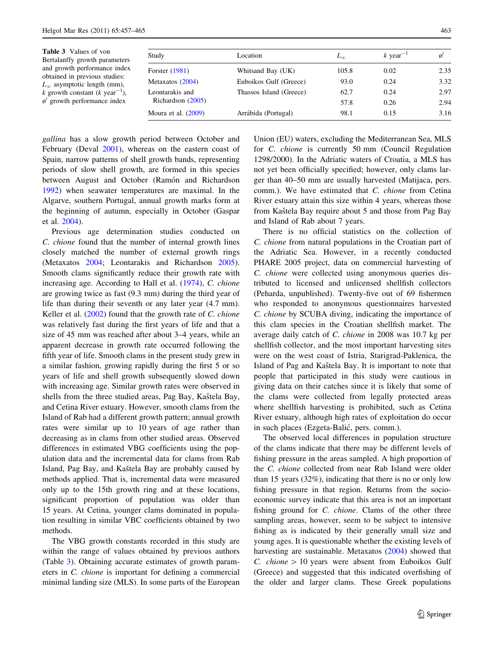| <b>Table 3</b> Values of von<br>Bertalanffy growth parameters<br>and growth performance index | Study                 | Location                | $L_{\infty}$ | $k$ year <sup>-1</sup> |      |
|-----------------------------------------------------------------------------------------------|-----------------------|-------------------------|--------------|------------------------|------|
|                                                                                               | Forster $(1981)$      | Whitsand Bay (UK)       | 105.8        | 0.02                   | 2.35 |
| obtained in previous studies:<br>$L_{\infty}$ asymptotic length (mm),                         | Metaxatos (2004)      | Euboikos Gulf (Greece)  | 93.0         | 0.24                   | 3.32 |
| k growth constant (k year <sup>-1</sup> ),<br>$\phi'$ growth performance index                | Leontarakis and       | Thassos Island (Greece) | 62.7         | 0.24                   | 2.97 |
|                                                                                               | Richardson (2005)     |                         | 57.8         | 0.26                   | 2.94 |
|                                                                                               | Moura et al. $(2009)$ | Arrábida (Portugal)     | 98.1         | 0.15                   | 3.16 |

gallina has a slow growth period between October and February (Deval [2001](#page-7-0)), whereas on the eastern coast of Spain, narrow patterns of shell growth bands, representing periods of slow shell growth, are formed in this species between August and October (Ramón and Richardson [1992\)](#page-7-0) when seawater temperatures are maximal. In the Algarve, southern Portugal, annual growth marks form at the beginning of autumn, especially in October (Gaspar et al. [2004\)](#page-7-0).

Previous age determination studies conducted on C. chione found that the number of internal growth lines closely matched the number of external growth rings (Metaxatos [2004](#page-7-0); Leontarakis and Richardson [2005](#page-7-0)). Smooth clams significantly reduce their growth rate with increasing age. According to Hall et al. ([1974](#page-7-0)), C. chione are growing twice as fast (9.3 mm) during the third year of life than during their seventh or any later year (4.7 mm). Keller et al.  $(2002)$  $(2002)$  found that the growth rate of C. chione was relatively fast during the first years of life and that a size of 45 mm was reached after about 3–4 years, while an apparent decrease in growth rate occurred following the fifth year of life. Smooth clams in the present study grew in a similar fashion, growing rapidly during the first 5 or so years of life and shell growth subsequently slowed down with increasing age. Similar growth rates were observed in shells from the three studied areas, Pag Bay, Kaštela Bay, and Cetina River estuary. However, smooth clams from the Island of Rab had a different growth pattern; annual growth rates were similar up to 10 years of age rather than decreasing as in clams from other studied areas. Observed differences in estimated VBG coefficients using the population data and the incremental data for clams from Rab Island, Pag Bay, and Kaštela Bay are probably caused by methods applied. That is, incremental data were measured only up to the 15th growth ring and at these locations, significant proportion of population was older than 15 years. At Cetina, younger clams dominated in population resulting in similar VBC coefficients obtained by two methods.

The VBG growth constants recorded in this study are within the range of values obtained by previous authors (Table 3). Obtaining accurate estimates of growth parameters in C. chione is important for defining a commercial minimal landing size (MLS). In some parts of the European

Union (EU) waters, excluding the Mediterranean Sea, MLS for C. chione is currently 50 mm (Council Regulation 1298/2000). In the Adriatic waters of Croatia, a MLS has not yet been officially specified; however, only clams larger than 40–50 mm are usually harvested (Matijaca, pers. comm.). We have estimated that C. chione from Cetina River estuary attain this size within 4 years, whereas those from Kaštela Bay require about 5 and those from Pag Bay and Island of Rab about 7 years.

There is no official statistics on the collection of C. chione from natural populations in the Croatian part of the Adriatic Sea. However, in a recently conducted PHARE 2005 project, data on commercial harvesting of C. chione were collected using anonymous queries distributed to licensed and unlicensed shellfish collectors (Peharda, unpublished). Twenty-five out of 69 fishermen who responded to anonymous questionnaires harvested C. chione by SCUBA diving, indicating the importance of this clam species in the Croatian shellfish market. The average daily catch of C. chione in 2008 was 10.7 kg per shellfish collector, and the most important harvesting sites were on the west coast of Istria, Starigrad-Paklenica, the Island of Pag and Kaštela Bay. It is important to note that people that participated in this study were cautious in giving data on their catches since it is likely that some of the clams were collected from legally protected areas where shellfish harvesting is prohibited, such as Cetina River estuary, although high rates of exploitation do occur in such places (Ezgeta-Balić, pers. comm.).

The observed local differences in population structure of the clams indicate that there may be different levels of fishing pressure in the areas sampled. A high proportion of the C. chione collected from near Rab Island were older than 15 years (32%), indicating that there is no or only low fishing pressure in that region. Returns from the socioeconomic survey indicate that this area is not an important fishing ground for C. chione. Clams of the other three sampling areas, however, seem to be subject to intensive fishing as is indicated by their generally small size and young ages. It is questionable whether the existing levels of harvesting are sustainable. Metaxatos ([2004\)](#page-7-0) showed that C. chione  $> 10$  years were absent from Euboikos Gulf (Greece) and suggested that this indicated overfishing of the older and larger clams. These Greek populations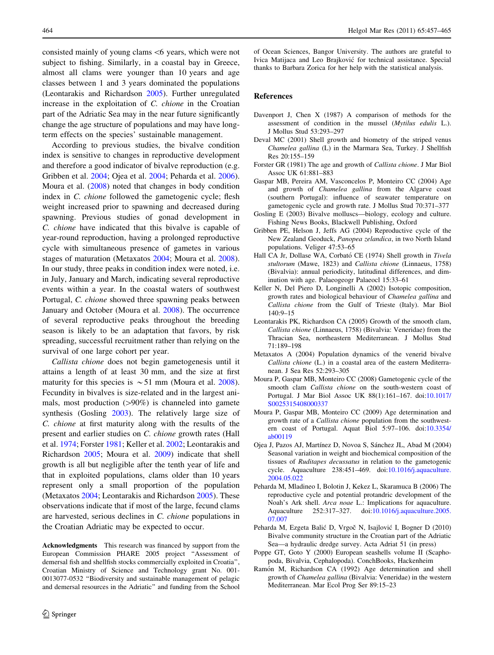<span id="page-7-0"></span>consisted mainly of young clams\6 years, which were not subject to fishing. Similarly, in a coastal bay in Greece, almost all clams were younger than 10 years and age classes between 1 and 3 years dominated the populations (Leontarakis and Richardson 2005). Further unregulated increase in the exploitation of C. chione in the Croatian part of the Adriatic Sea may in the near future significantly change the age structure of populations and may have longterm effects on the species' sustainable management.

According to previous studies, the bivalve condition index is sensitive to changes in reproductive development and therefore a good indicator of bivalve reproduction (e.g. Gribben et al. 2004; Ojea et al. 2004; Peharda et al. 2006). Moura et al. (2008) noted that changes in body condition index in C. *chione* followed the gametogenic cycle; flesh weight increased prior to spawning and decreased during spawning. Previous studies of gonad development in C. chione have indicated that this bivalve is capable of year-round reproduction, having a prolonged reproductive cycle with simultaneous presence of gametes in various stages of maturation (Metaxatos 2004; Moura et al. 2008). In our study, three peaks in condition index were noted, i.e. in July, January and March, indicating several reproductive events within a year. In the coastal waters of southwest Portugal, C. chione showed three spawning peaks between January and October (Moura et al. 2008). The occurrence of several reproductive peaks throughout the breeding season is likely to be an adaptation that favors, by risk spreading, successful recruitment rather than relying on the survival of one large cohort per year.

Callista chione does not begin gametogenesis until it attains a length of at least 30 mm, and the size at first maturity for this species is  $\sim$  51 mm (Moura et al. 2008). Fecundity in bivalves is size-related and in the largest animals, most production  $(>90%)$  is channeled into gamete synthesis (Gosling 2003). The relatively large size of C. chione at first maturity along with the results of the present and earlier studies on C. chione growth rates (Hall et al. 1974; Forster 1981; Keller et al. 2002; Leontarakis and Richardson 2005; Moura et al. 2009) indicate that shell growth is all but negligible after the tenth year of life and that in exploited populations, clams older than 10 years represent only a small proportion of the population (Metaxatos 2004; Leontarakis and Richardson 2005). These observations indicate that if most of the large, fecund clams are harvested, serious declines in C. chione populations in the Croatian Adriatic may be expected to occur.

Acknowledgments This research was financed by support from the European Commission PHARE 2005 project ''Assessment of demersal fish and shellfish stocks commercially exploited in Croatia'', Croatian Ministry of Science and Technology grant No. 001- 0013077-0532 ''Biodiversity and sustainable management of pelagic and demersal resources in the Adriatic'' and funding from the School of Ocean Sciences, Bangor University. The authors are grateful to Ivica Matijaca and Leo Brajkovic´ for technical assistance. Special thanks to Barbara Zorica for her help with the statistical analysis.

### References

- Davenport J, Chen X (1987) A comparison of methods for the assessment of condition in the mussel (Mytilus edulis L.). J Mollus Stud 53:293–297
- Deval MC (2001) Shell growth and biometry of the striped venus Chamelea gallina (L) in the Marmara Sea, Turkey. J Shellfish Res 20:155–159
- Forster GR (1981) The age and growth of Callista chione. J Mar Biol Assoc UK 61:881–883
- Gaspar MB, Pereira AM, Vasconcelos P, Monteiro CC (2004) Age and growth of Chamelea gallina from the Algarve coast (southern Portugal): influence of seawater temperature on gametogenic cycle and growth rate. J Mollus Stud 70:371–377
- Gosling E (2003) Bivalve molluscs—biology, ecology and culture. Fishing News Books, Blackwell Publishing, Oxford
- Gribben PE, Helson J, Jeffs AG (2004) Reproductive cycle of the New Zealand Geoduck, Panopea zelandica, in two North Island populations. Veliger 47:53–65
- Hall CA Jr, Dollase WA, Corbató CE (1974) Shell growth in Tivela stultorum (Mawe, 1823) and Callista chione (Linnaeus, 1758) (Bivalvia): annual periodicity, latitudinal differences, and diminution with age. Palaeogeogr Palaeocl 15:33–61
- Keller N, Del Piero D, Longinelli A (2002) Isotopic composition, growth rates and biological behaviour of Chamelea gallina and Callista chione from the Gulf of Trieste (Italy). Mar Biol  $140.9 - 15$
- Leontarakis PK, Richardson CA (2005) Growth of the smooth clam, Callista chione (Linnaeus, 1758) (Bivalvia: Veneridae) from the Thracian Sea, northeastern Mediterranean. J Mollus Stud 71:189–198
- Metaxatos A (2004) Population dynamics of the venerid bivalve Callista chione (L.) in a coastal area of the eastern Mediterranean. J Sea Res 52:293–305
- Moura P, Gaspar MB, Monteiro CC (2008) Gametogenic cycle of the smooth clam Callista chione on the south-western coast of Portugal. J Mar Biol Assoc UK 88(1):161–167. doi[:10.1017/](http://dx.doi.org/10.1017/S0025315408000337) [S0025315408000337](http://dx.doi.org/10.1017/S0025315408000337)
- Moura P, Gaspar MB, Monteiro CC (2009) Age determination and growth rate of a Callista chione population from the southwestern coast of Portugal. Aquat Biol 5:97–106. doi[:10.3354/](http://dx.doi.org/10.3354/ab00119) [ab00119](http://dx.doi.org/10.3354/ab00119)
- Ojea J, Pazos AJ, Martínez D, Novoa S, Sánchez JL, Abad M (2004) Seasonal variation in weight and biochemical composition of the tissues of Ruditapes decussatus in relation to the gametogenic cycle. Aquaculture 238:451–469. doi[:10.1016/j.aquaculture.](http://dx.doi.org/10.1016/j.aquaculture.2004.05.022) [2004.05.022](http://dx.doi.org/10.1016/j.aquaculture.2004.05.022)
- Peharda M, Mladineo I, Bolotin J, Kekez L, Skaramuca B (2006) The reproductive cycle and potential protandric development of the Noah's Ark shell. Arca noae L.: Implications for aquaculture. Aquaculture 252:317–327. doi:[10.1016/j.aquaculture.2005.](http://dx.doi.org/10.1016/j.aquaculture.2005.07.007) [07.007](http://dx.doi.org/10.1016/j.aquaculture.2005.07.007)
- Peharda M, Ezgeta Balić D, Vrgoč N, Isajlović I, Bogner D (2010) Bivalve community structure in the Croatian part of the Adriatic Sea—a hydraulic dredge survey. Acta Adriat 51 (in press)
- Poppe GT, Goto Y (2000) European seashells volume II (Scaphopoda, Bivalvia, Cephalopoda). ConchBooks, Hackenheim
- Ramón M, Richardson CA (1992) Age determination and shell growth of Chamelea gallina (Bivalvia: Veneridae) in the western Mediterranean. Mar Ecol Prog Ser 89:15–23